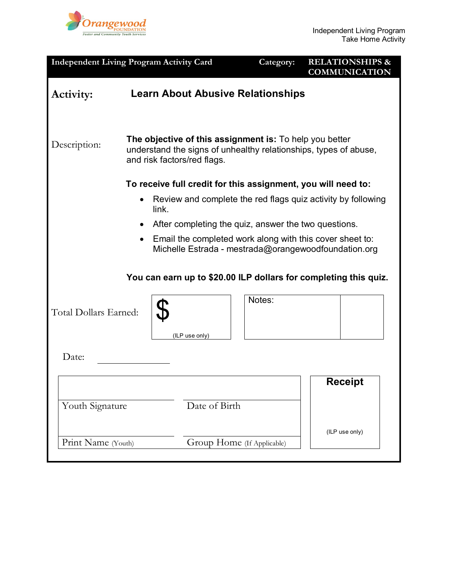

| <b>Independent Living Program Activity Card</b>                                                                  |                                                                                                                                                            |       |                            |  | Category:                                                    |  | <b>RELATIONSHIPS &amp;</b><br><b>COMMUNICATION</b> |  |
|------------------------------------------------------------------------------------------------------------------|------------------------------------------------------------------------------------------------------------------------------------------------------------|-------|----------------------------|--|--------------------------------------------------------------|--|----------------------------------------------------|--|
| Activity:                                                                                                        |                                                                                                                                                            |       |                            |  | <b>Learn About Abusive Relationships</b>                     |  |                                                    |  |
| Description:                                                                                                     | The objective of this assignment is: To help you better<br>understand the signs of unhealthy relationships, types of abuse,<br>and risk factors/red flags. |       |                            |  |                                                              |  |                                                    |  |
| To receive full credit for this assignment, you will need to:                                                    |                                                                                                                                                            |       |                            |  |                                                              |  |                                                    |  |
|                                                                                                                  |                                                                                                                                                            | link. |                            |  | Review and complete the red flags quiz activity by following |  |                                                    |  |
|                                                                                                                  | ٠                                                                                                                                                          |       |                            |  | After completing the quiz, answer the two questions.         |  |                                                    |  |
| Email the completed work along with this cover sheet to:<br>Michelle Estrada - mestrada@orangewoodfoundation.org |                                                                                                                                                            |       |                            |  |                                                              |  |                                                    |  |
| You can earn up to \$20.00 ILP dollars for completing this quiz.                                                 |                                                                                                                                                            |       |                            |  |                                                              |  |                                                    |  |
| Total Dollars Earned:                                                                                            |                                                                                                                                                            |       |                            |  | Notes:                                                       |  |                                                    |  |
|                                                                                                                  |                                                                                                                                                            |       | (ILP use only)             |  |                                                              |  |                                                    |  |
| Date:                                                                                                            |                                                                                                                                                            |       |                            |  |                                                              |  |                                                    |  |
|                                                                                                                  |                                                                                                                                                            |       |                            |  |                                                              |  | <b>Receipt</b>                                     |  |
| Youth Signature                                                                                                  |                                                                                                                                                            |       | Date of Birth              |  |                                                              |  |                                                    |  |
| Print Name (Youth)                                                                                               |                                                                                                                                                            |       | Group Home (If Applicable) |  |                                                              |  | (ILP use only)                                     |  |
|                                                                                                                  |                                                                                                                                                            |       |                            |  |                                                              |  |                                                    |  |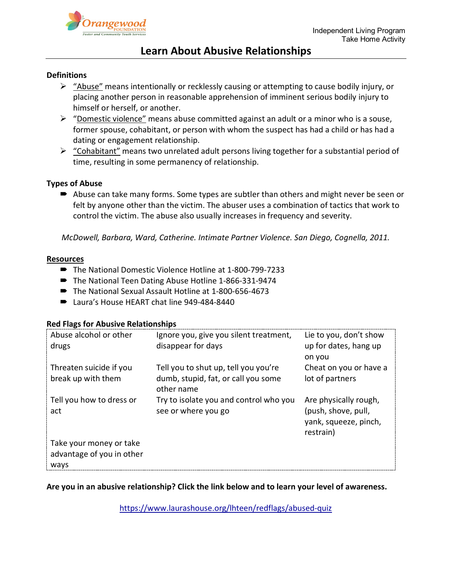

# **Learn About Abusive Relationships**

## **Definitions**

- $\triangleright$  "Abuse" means intentionally or recklessly causing or attempting to cause bodily injury, or placing another person in reasonable apprehension of imminent serious bodily injury to himself or herself, or another.
- $\triangleright$  "Domestic violence" means abuse committed against an adult or a minor who is a souse, former spouse, cohabitant, or person with whom the suspect has had a child or has had a dating or engagement relationship.
- $\triangleright$  "Cohabitant" means two unrelated adult persons living together for a substantial period of time, resulting in some permanency of relationship.

## **Types of Abuse**

■ Abuse can take many forms. Some types are subtler than others and might never be seen or felt by anyone other than the victim. The abuser uses a combination of tactics that work to control the victim. The abuse also usually increases in frequency and severity.

*McDowell, Barbara, Ward, Catherine. Intimate Partner Violence. San Diego, Cognella, 2011.*

## **Resources**

- The National Domestic Violence Hotline at 1-800-799-7233
- The National Teen Dating Abuse Hotline 1-866-331-9474
- The National Sexual Assault Hotline at 1-800-656-4673
- Laura's House HEART chat line 949-484-8440

## **Red Flags for Abusive Relationships**

| Abuse alcohol or other<br>drugs               | Ignore you, give you silent treatment,<br>disappear for days                              | Lie to you, don't show<br>up for dates, hang up<br>on you                          |
|-----------------------------------------------|-------------------------------------------------------------------------------------------|------------------------------------------------------------------------------------|
| Threaten suicide if you<br>break up with them | Tell you to shut up, tell you you're<br>dumb, stupid, fat, or call you some<br>other name | Cheat on you or have a<br>lot of partners                                          |
| Tell you how to dress or<br>act               | Try to isolate you and control who you<br>see or where you go                             | Are physically rough,<br>(push, shove, pull,<br>yank, squeeze, pinch,<br>restrain) |
| Take your money or take                       |                                                                                           |                                                                                    |
| advantage of you in other                     |                                                                                           |                                                                                    |
| ways                                          |                                                                                           |                                                                                    |

## **Are you in an abusive relationship? Click the link below and to learn your level of awareness.**

<https://www.laurashouse.org/lhteen/redflags/abused-quiz>